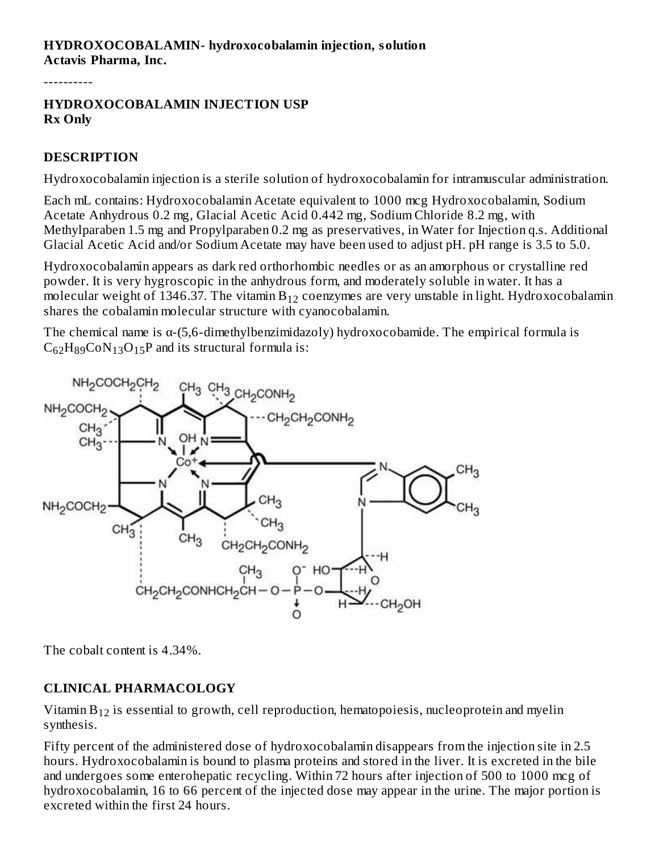#### **HYDROXOCOBALAMIN- hydroxocobalamin injection, solution Actavis Pharma, Inc.**

----------

#### **HYDROXOCOBALAMIN INJECTION USP Rx Only**

#### **DESCRIPTION**

Hydroxocobalamin injection is a sterile solution of hydroxocobalamin for intramuscular administration.

Each mL contains: Hydroxocobalamin Acetate equivalent to 1000 mcg Hydroxocobalamin, Sodium Acetate Anhydrous 0.2 mg, Glacial Acetic Acid 0.442 mg, Sodium Chloride 8.2 mg, with Methylparaben 1.5 mg and Propylparaben 0.2 mg as preservatives, in Water for Injection q.s. Additional Glacial Acetic Acid and/or Sodium Acetate may have been used to adjust pH. pH range is 3.5 to 5.0.

Hydroxocobalamin appears as dark red orthorhombic needles or as an amorphous or crystalline red powder. It is very hygroscopic in the anhydrous form, and moderately soluble in water. It has a molecular weight of 1346.37. The vitamin  $\rm B_{12}$  coenzymes are very unstable in light. Hydroxocobalamin shares the cobalamin molecular structure with cyanocobalamin.

The chemical name is α-(5,6-dimethylbenzimidazoly) hydroxocobamide. The empirical formula is  $C_{62}H_{89}CoN_{13}O_{15}P$  and its structural formula is:



The cobalt content is 4.34%.

#### **CLINICAL PHARMACOLOGY**

Vitamin  $\rm B_{12}$  is essential to growth, cell reproduction, hematopoiesis, nucleoprotein and myelin synthesis.

Fifty percent of the administered dose of hydroxocobalamin disappears from the injection site in 2.5 hours. Hydroxocobalamin is bound to plasma proteins and stored in the liver. It is excreted in the bile and undergoes some enterohepatic recycling. Within 72 hours after injection of 500 to 1000 mcg of hydroxocobalamin, 16 to 66 percent of the injected dose may appear in the urine. The major portion is excreted within the first 24 hours.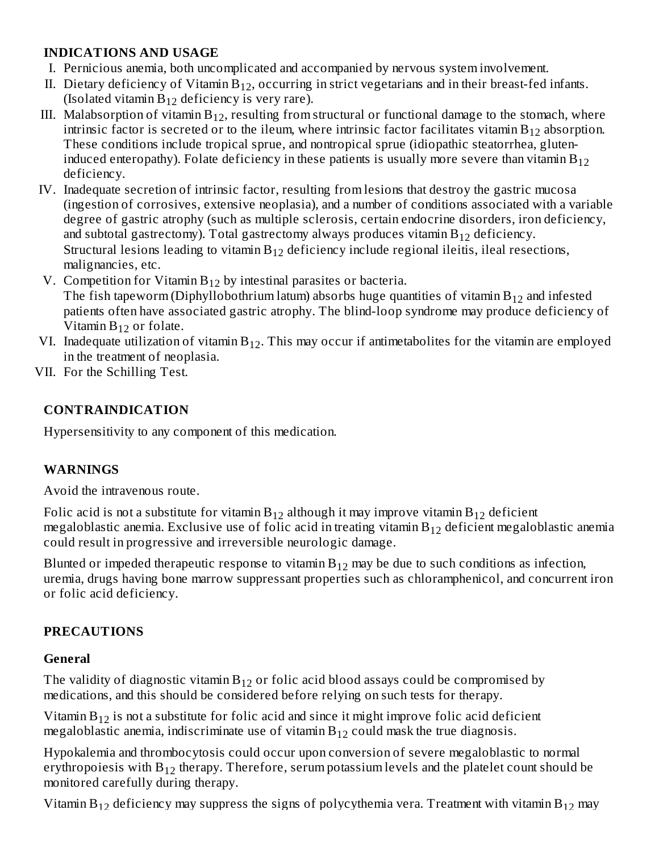#### **INDICATIONS AND USAGE**

- I. Pernicious anemia, both uncomplicated and accompanied by nervous system involvement.
- II. Dietary deficiency of Vitamin  $B_{12}$ , occurring in strict vegetarians and in their breast-fed infants. (Isolated vitamin  $B_{12}$  deficiency is very rare).
- III. Malabsorption of vitamin  $B_{12}$ , resulting from structural or functional damage to the stomach, where intrinsic factor is secreted or to the ileum, where intrinsic factor facilitates vitamin  $\rm B_{12}$  absorption. These conditions include tropical sprue, and nontropical sprue (idiopathic steatorrhea, gluteninduced enteropathy). Folate deficiency in these patients is usually more severe than vitamin  $\rm B_{12}$ deficiency.
- IV. Inadequate secretion of intrinsic factor, resulting from lesions that destroy the gastric mucosa (ingestion of corrosives, extensive neoplasia), and a number of conditions associated with a variable degree of gastric atrophy (such as multiple sclerosis, certain endocrine disorders, iron deficiency, and subtotal gastrectomy). Total gastrectomy always produces vitamin  $\rm B_{12}$  deficiency. Structural lesions leading to vitamin  $B_{12}$  deficiency include regional ileitis, ileal resections, malignancies, etc.
- V. Competition for Vitamin  $B_{12}$  by intestinal parasites or bacteria.

The fish tapeworm (Diphyllobothrium latum) absorbs huge quantities of vitamin  $\rm B_{12}$  and infested patients often have associated gastric atrophy. The blind-loop syndrome may produce deficiency of Vitamin  $B_{12}$  or folate.

- VI. Inadequate utilization of vitamin  $B_{12}$ . This may occur if antimetabolites for the vitamin are employed in the treatment of neoplasia.
- VII. For the Schilling Test.

### **CONTRAINDICATION**

Hypersensitivity to any component of this medication.

### **WARNINGS**

Avoid the intravenous route.

Folic acid is not a substitute for vitamin  $\rm B_{12}$  although it may improve vitamin  $\rm B_{12}$  deficient megaloblastic anemia. Exclusive use of folic acid in treating vitamin  $\mathrm{B}_{12}$  deficient megaloblastic anemia could result in progressive and irreversible neurologic damage.

Blunted or impeded therapeutic response to vitamin  $\mathrm{B}_{12}$  may be due to such conditions as infection, uremia, drugs having bone marrow suppressant properties such as chloramphenicol, and concurrent iron or folic acid deficiency.

### **PRECAUTIONS**

### **General**

The validity of diagnostic vitamin  $\rm B_{12}$  or folic acid blood assays could be compromised by medications, and this should be considered before relying on such tests for therapy.

Vitamin  $\rm B_{12}$  is not a substitute for folic acid and since it might improve folic acid deficient megaloblastic anemia, indiscriminate use of vitamin  $B_{12}$  could mask the true diagnosis.

Hypokalemia and thrombocytosis could occur upon conversion of severe megaloblastic to normal erythropoiesis with  $\rm B_{12}$  therapy. Therefore, serum potassium levels and the platelet count should be monitored carefully during therapy.

Vitamin  $B_{12}$  deficiency may suppress the signs of polycythemia vera. Treatment with vitamin  $B_{12}$  may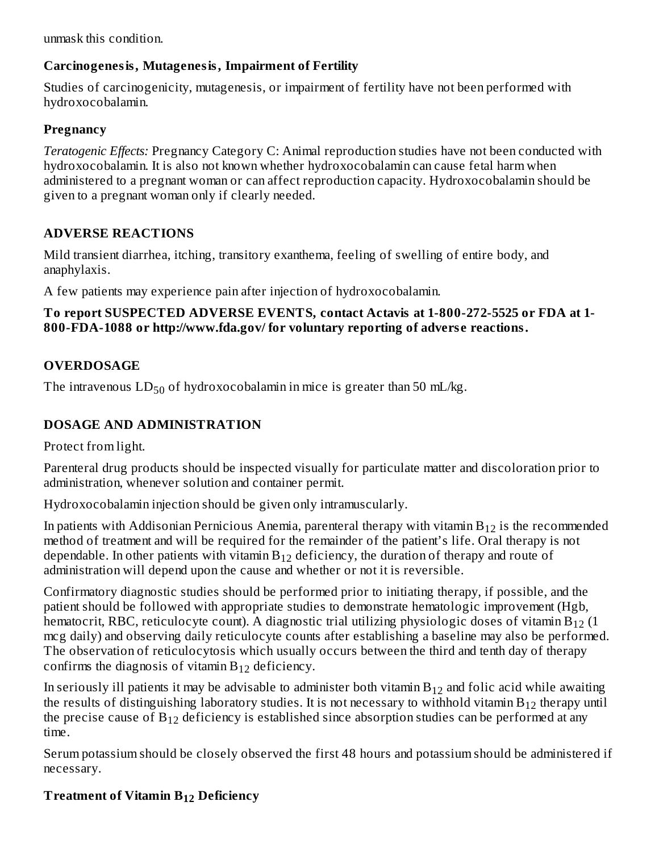unmask this condition. 12 12

### **Carcinogenesis, Mutagenesis, Impairment of Fertility**

Studies of carcinogenicity, mutagenesis, or impairment of fertility have not been performed with hydroxocobalamin.

### **Pregnancy**

*Teratogenic Effects:* Pregnancy Category C: Animal reproduction studies have not been conducted with hydroxocobalamin. It is also not known whether hydroxocobalamin can cause fetal harm when administered to a pregnant woman or can affect reproduction capacity. Hydroxocobalamin should be given to a pregnant woman only if clearly needed.

## **ADVERSE REACTIONS**

Mild transient diarrhea, itching, transitory exanthema, feeling of swelling of entire body, and anaphylaxis.

A few patients may experience pain after injection of hydroxocobalamin.

#### **To report SUSPECTED ADVERSE EVENTS, contact Actavis at 1-800-272-5525 or FDA at 1- 800-FDA-1088 or http://www.fda.gov/ for voluntary reporting of advers e reactions.**

## **OVERDOSAGE**

The intravenous  $LD_{50}$  of hydroxocobalamin in mice is greater than 50 mL/kg.

## **DOSAGE AND ADMINISTRATION**

Protect from light.

Parenteral drug products should be inspected visually for particulate matter and discoloration prior to administration, whenever solution and container permit.

Hydroxocobalamin injection should be given only intramuscularly.

In patients with Addisonian Pernicious Anemia, parenteral therapy with vitamin  $\rm B_{12}$  is the recommended method of treatment and will be required for the remainder of the patient's life. Oral therapy is not dependable. In other patients with vitamin  $\rm B_{12}$  deficiency, the duration of therapy and route of administration will depend upon the cause and whether or not it is reversible.

Confirmatory diagnostic studies should be performed prior to initiating therapy, if possible, and the patient should be followed with appropriate studies to demonstrate hematologic improvement (Hgb, hematocrit, RBC, reticulocyte count). A diagnostic trial utilizing physiologic doses of vitamin B $_{12}$  (1 mcg daily) and observing daily reticulocyte counts after establishing a baseline may also be performed. The observation of reticulocytosis which usually occurs between the third and tenth day of therapy confirms the diagnosis of vitamin  $B_{12}$  deficiency.

In seriously ill patients it may be advisable to administer both vitamin  $\mathrm{B}_{12}$  and folic acid while awaiting the results of distinguishing laboratory studies. It is not necessary to withhold vitamin  $\rm B_{12}$  therapy until the precise cause of  $\rm B_{12}$  deficiency is established since absorption studies can be performed at any time.

Serum potassium should be closely observed the first 48 hours and potassium should be administered if necessary.

# **Treatment of Vitamin B Deficiency 12**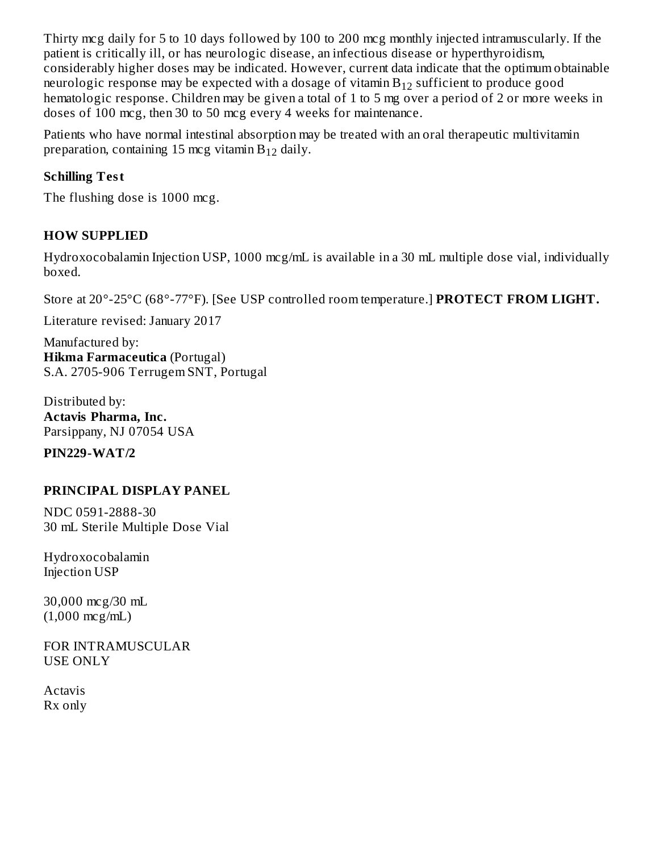Thirty mcg daily for 5 to 10 days followed by 100 to 200 mcg monthly injected intramuscularly. If the patient is critically ill, or has neurologic disease, an infectious disease or hyperthyroidism, considerably higher doses may be indicated. However, current data indicate that the optimum obtainable neurologic response may be expected with a dosage of vitamin  $\mathrm{B}_{12}$  sufficient to produce good hematologic response. Children may be given a total of 1 to 5 mg over a period of 2 or more weeks in doses of 100 mcg, then 30 to 50 mcg every 4 weeks for maintenance.

Patients who have normal intestinal absorption may be treated with an oral therapeutic multivitamin preparation, containing 15 mcg vitamin  $B_{12}$  daily.

### **Schilling Test**

The flushing dose is 1000 mcg.

### **HOW SUPPLIED**

Hydroxocobalamin Injection USP, 1000 mcg/mL is available in a 30 mL multiple dose vial, individually boxed.

Store at 20°-25°C (68°-77°F). [See USP controlled room temperature.] **PROTECT FROM LIGHT.**

Literature revised: January 2017

Manufactured by: **Hikma Farmaceutica** (Portugal) S.A. 2705-906 Terrugem SNT, Portugal

Distributed by: **Actavis Pharma, Inc.** Parsippany, NJ 07054 USA

**PIN229-WAT/2**

## **PRINCIPAL DISPLAY PANEL**

NDC 0591-2888-30 30 mL Sterile Multiple Dose Vial

Hydroxocobalamin Injection USP

30,000 mcg/30 mL (1,000 mcg/mL)

FOR INTRAMUSCULAR USE ONLY

Actavis Rx only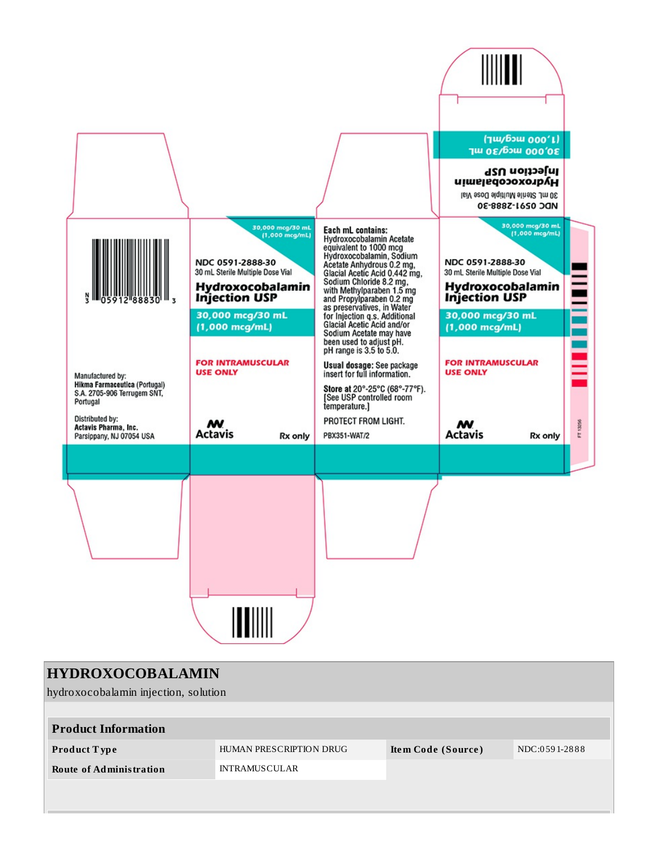

| <b>HYDROXOCOBALAMIN</b>              |                         |                    |               |  |  |  |  |  |
|--------------------------------------|-------------------------|--------------------|---------------|--|--|--|--|--|
| hydroxocobalamin injection, solution |                         |                    |               |  |  |  |  |  |
|                                      |                         |                    |               |  |  |  |  |  |
| <b>Product Information</b>           |                         |                    |               |  |  |  |  |  |
| <b>Product Type</b>                  | HUMAN PRESCRIPTION DRUG | Item Code (Source) | NDC:0591-2888 |  |  |  |  |  |
| <b>Route of Administration</b>       | <b>INTRAMUSCULAR</b>    |                    |               |  |  |  |  |  |
|                                      |                         |                    |               |  |  |  |  |  |
|                                      |                         |                    |               |  |  |  |  |  |